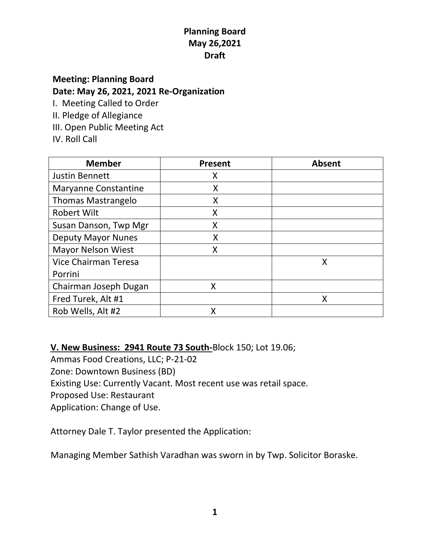# **Meeting: Planning Board Date: May 26, 2021, 2021 Re-Organization**

I. Meeting Called to Order

- II. Pledge of Allegiance
- III. Open Public Meeting Act
- IV. Roll Call

| <b>Member</b>               | <b>Present</b> | <b>Absent</b> |
|-----------------------------|----------------|---------------|
| <b>Justin Bennett</b>       | Χ              |               |
| <b>Maryanne Constantine</b> | X              |               |
| <b>Thomas Mastrangelo</b>   | X              |               |
| <b>Robert Wilt</b>          | X              |               |
| Susan Danson, Twp Mgr       | Χ              |               |
| <b>Deputy Mayor Nunes</b>   | Χ              |               |
| <b>Mayor Nelson Wiest</b>   | Χ              |               |
| Vice Chairman Teresa        |                | Χ             |
| Porrini                     |                |               |
| Chairman Joseph Dugan       | X              |               |
| Fred Turek, Alt #1          |                | X             |
| Rob Wells, Alt #2           | Χ              |               |

**V. New Business: 2941 Route 73 South-**Block 150; Lot 19.06;

Ammas Food Creations, LLC; P-21-02 Zone: Downtown Business (BD) Existing Use: Currently Vacant. Most recent use was retail space. Proposed Use: Restaurant Application: Change of Use.

Attorney Dale T. Taylor presented the Application:

Managing Member Sathish Varadhan was sworn in by Twp. Solicitor Boraske.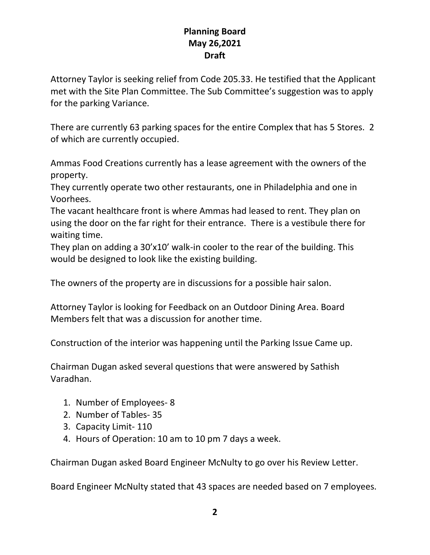Attorney Taylor is seeking relief from Code 205.33. He testified that the Applicant met with the Site Plan Committee. The Sub Committee's suggestion was to apply for the parking Variance.

There are currently 63 parking spaces for the entire Complex that has 5 Stores. 2 of which are currently occupied.

Ammas Food Creations currently has a lease agreement with the owners of the property.

They currently operate two other restaurants, one in Philadelphia and one in Voorhees.

The vacant healthcare front is where Ammas had leased to rent. They plan on using the door on the far right for their entrance. There is a vestibule there for waiting time.

They plan on adding a 30'x10' walk-in cooler to the rear of the building. This would be designed to look like the existing building.

The owners of the property are in discussions for a possible hair salon.

Attorney Taylor is looking for Feedback on an Outdoor Dining Area. Board Members felt that was a discussion for another time.

Construction of the interior was happening until the Parking Issue Came up.

Chairman Dugan asked several questions that were answered by Sathish Varadhan.

- 1. Number of Employees- 8
- 2. Number of Tables- 35
- 3. Capacity Limit- 110
- 4. Hours of Operation: 10 am to 10 pm 7 days a week.

Chairman Dugan asked Board Engineer McNulty to go over his Review Letter.

Board Engineer McNulty stated that 43 spaces are needed based on 7 employees.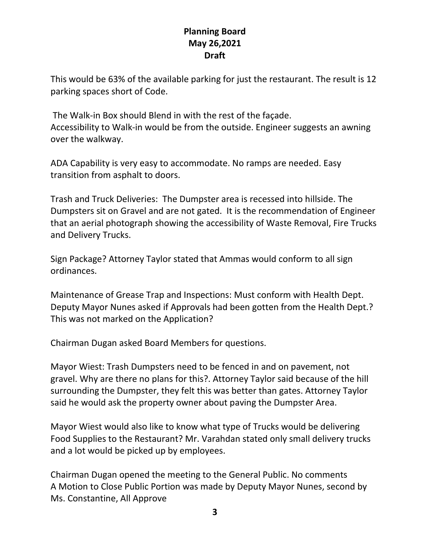This would be 63% of the available parking for just the restaurant. The result is 12 parking spaces short of Code.

The Walk-in Box should Blend in with the rest of the façade. Accessibility to Walk-in would be from the outside. Engineer suggests an awning over the walkway.

ADA Capability is very easy to accommodate. No ramps are needed. Easy transition from asphalt to doors.

Trash and Truck Deliveries: The Dumpster area is recessed into hillside. The Dumpsters sit on Gravel and are not gated. It is the recommendation of Engineer that an aerial photograph showing the accessibility of Waste Removal, Fire Trucks and Delivery Trucks.

Sign Package? Attorney Taylor stated that Ammas would conform to all sign ordinances.

Maintenance of Grease Trap and Inspections: Must conform with Health Dept. Deputy Mayor Nunes asked if Approvals had been gotten from the Health Dept.? This was not marked on the Application?

Chairman Dugan asked Board Members for questions.

Mayor Wiest: Trash Dumpsters need to be fenced in and on pavement, not gravel. Why are there no plans for this?. Attorney Taylor said because of the hill surrounding the Dumpster, they felt this was better than gates. Attorney Taylor said he would ask the property owner about paving the Dumpster Area.

Mayor Wiest would also like to know what type of Trucks would be delivering Food Supplies to the Restaurant? Mr. Varahdan stated only small delivery trucks and a lot would be picked up by employees.

Chairman Dugan opened the meeting to the General Public. No comments A Motion to Close Public Portion was made by Deputy Mayor Nunes, second by Ms. Constantine, All Approve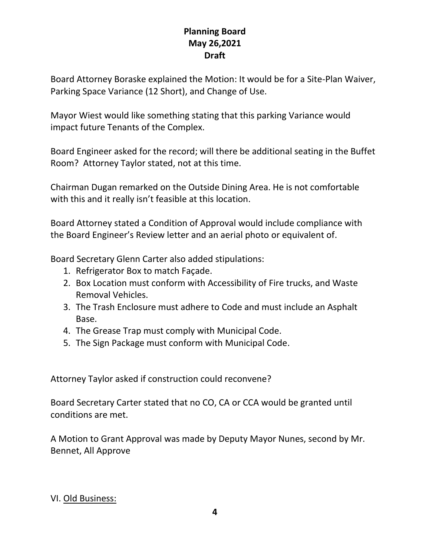Board Attorney Boraske explained the Motion: It would be for a Site-Plan Waiver, Parking Space Variance (12 Short), and Change of Use.

Mayor Wiest would like something stating that this parking Variance would impact future Tenants of the Complex.

Board Engineer asked for the record; will there be additional seating in the Buffet Room? Attorney Taylor stated, not at this time.

Chairman Dugan remarked on the Outside Dining Area. He is not comfortable with this and it really isn't feasible at this location.

Board Attorney stated a Condition of Approval would include compliance with the Board Engineer's Review letter and an aerial photo or equivalent of.

Board Secretary Glenn Carter also added stipulations:

- 1. Refrigerator Box to match Façade.
- 2. Box Location must conform with Accessibility of Fire trucks, and Waste Removal Vehicles.
- 3. The Trash Enclosure must adhere to Code and must include an Asphalt Base.
- 4. The Grease Trap must comply with Municipal Code.
- 5. The Sign Package must conform with Municipal Code.

Attorney Taylor asked if construction could reconvene?

Board Secretary Carter stated that no CO, CA or CCA would be granted until conditions are met.

A Motion to Grant Approval was made by Deputy Mayor Nunes, second by Mr. Bennet, All Approve

#### VI. Old Business: